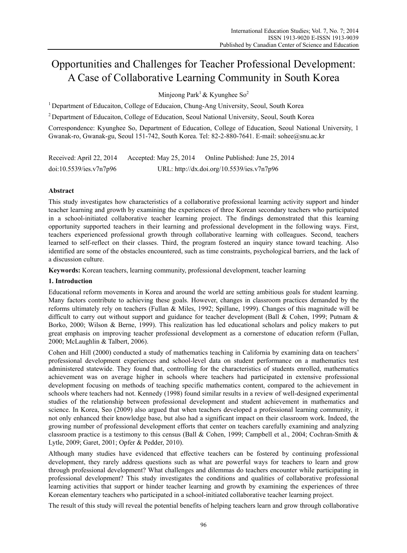# Opportunities and Challenges for Teacher Professional Development: A Case of Collaborative Learning Community in South Korea

Minjeong Park<sup>1</sup> & Kyunghee So<sup>2</sup>

<sup>1</sup> Department of Educaiton, College of Educaion, Chung-Ang University, Seoul, South Korea

2 Department of Educaiton, College of Education, Seoul National University, Seoul, South Korea

Correspondence: Kyunghee So, Department of Education, College of Education, Seoul National University, 1 Gwanak-ro, Gwanak-gu, Seoul 151-742, South Korea. Tel: 82-2-880-7641. E-mail: sohee@snu.ac.kr

| Received: April 22, 2014 | Accepted: May $25, 2014$                   | Online Published: June 25, 2014 |
|--------------------------|--------------------------------------------|---------------------------------|
| doi:10.5539/ies.v7n7p96  | URL: http://dx.doi.org/10.5539/ies.v7n7p96 |                                 |

# **Abstract**

This study investigates how characteristics of a collaborative professional learning activity support and hinder teacher learning and growth by examining the experiences of three Korean secondary teachers who participated in a school-initiated collaborative teacher learning project. The findings demonstrated that this learning opportunity supported teachers in their learning and professional development in the following ways. First, teachers experienced professional growth through collaborative learning with colleagues. Second, teachers learned to self-reflect on their classes. Third, the program fostered an inquiry stance toward teaching. Also identified are some of the obstacles encountered, such as time constraints, psychological barriers, and the lack of a discussion culture.

**Keywords:** Korean teachers, learning community, professional development, teacher learning

## **1. Introduction**

Educational reform movements in Korea and around the world are setting ambitious goals for student learning. Many factors contribute to achieving these goals. However, changes in classroom practices demanded by the reforms ultimately rely on teachers (Fullan & Miles, 1992; Spillane, 1999). Changes of this magnitude will be difficult to carry out without support and guidance for teacher development (Ball & Cohen, 1999; Putnam & Borko, 2000; Wilson & Berne, 1999). This realization has led educational scholars and policy makers to put great emphasis on improving teacher professional development as a cornerstone of education reform (Fullan, 2000; McLaughlin & Talbert, 2006).

Cohen and Hill (2000) conducted a study of mathematics teaching in California by examining data on teachers' professional development experiences and school-level data on student performance on a mathematics test administered statewide. They found that, controlling for the characteristics of students enrolled, mathematics achievement was on average higher in schools where teachers had participated in extensive professional development focusing on methods of teaching specific mathematics content, compared to the achievement in schools where teachers had not. Kennedy (1998) found similar results in a review of well-designed experimental studies of the relationship between professional development and student achievement in mathematics and science. In Korea, Seo (2009) also argued that when teachers developed a professional learning community, it not only enhanced their knowledge base, but also had a significant impact on their classroom work. Indeed, the growing number of professional development efforts that center on teachers carefully examining and analyzing classroom practice is a testimony to this census (Ball & Cohen, 1999; Campbell et al., 2004; Cochran-Smith & Lytle, 2009; Garet, 2001; Opfer & Pedder, 2010).

Although many studies have evidenced that effective teachers can be fostered by continuing professional development, they rarely address questions such as what are powerful ways for teachers to learn and grow through professional development? What challenges and dilemmas do teachers encounter while participating in professional development? This study investigates the conditions and qualities of collaborative professional learning activities that support or hinder teacher learning and growth by examining the experiences of three Korean elementary teachers who participated in a school-initiated collaborative teacher learning project.

The result of this study will reveal the potential benefits of helping teachers learn and grow through collaborative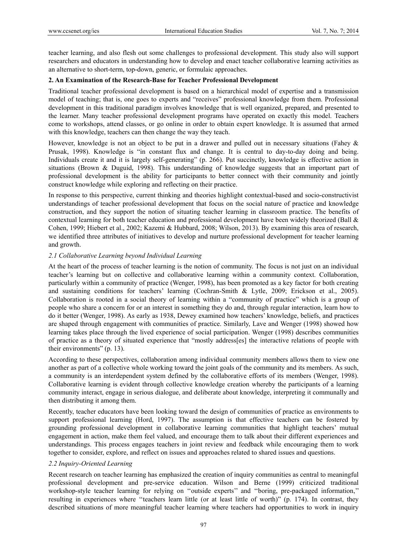teacher learning, and also flesh out some challenges to professional development. This study also will support researchers and educators in understanding how to develop and enact teacher collaborative learning activities as an alternative to short-term, top-down, generic, or formulaic approaches.

# **2. An Examination of the Research-Base for Teacher Professional Development**

Traditional teacher professional development is based on a hierarchical model of expertise and a transmission model of teaching; that is, one goes to experts and "receives" professional knowledge from them. Professional development in this traditional paradigm involves knowledge that is well organized, prepared, and presented to the learner. Many teacher professional development programs have operated on exactly this model. Teachers come to workshops, attend classes, or go online in order to obtain expert knowledge. It is assumed that armed with this knowledge, teachers can then change the way they teach.

However, knowledge is not an object to be put in a drawer and pulled out in necessary situations (Fahey & Prusak, 1998). Knowledge is "in constant flux and change. It is central to day-to-day doing and being. Individuals create it and it is largely self-generating" (p. 266). Put succinctly, knowledge is effective action in situations (Brown & Duguid, 1998). This understanding of knowledge suggests that an important part of professional development is the ability for participants to better connect with their community and jointly construct knowledge while exploring and reflecting on their practice.

In response to this perspective, current thinking and theories highlight contextual-based and socio-constructivist understandings of teacher professional development that focus on the social nature of practice and knowledge construction, and they support the notion of situating teacher learning in classroom practice. The benefits of contextual learning for both teacher education and professional development have been widely theorized (Ball & Cohen, 1999; Hiebert et al., 2002; Kazemi & Hubbard, 2008; Wilson, 2013). By examining this area of research, we identified three attributes of initiatives to develop and nurture professional development for teacher learning and growth.

# *2.1 Collaborative Learning beyond Individual Learning*

At the heart of the process of teacher learning is the notion of community. The focus is not just on an individual teacher's learning but on collective and collaborative learning within a community context. Collaboration, particularly within a community of practice (Wenger, 1998), has been promoted as a key factor for both creating and sustaining conditions for teachers' learning (Cochran-Smith & Lytle, 2009; Erickson et al., 2005). Collaboration is rooted in a social theory of learning within a "community of practice" which is a group of people who share a concern for or an interest in something they do and, through regular interaction, learn how to do it better (Wenger, 1998). As early as 1938, Dewey examined how teachers' knowledge, beliefs, and practices are shaped through engagement with communities of practice. Similarly, Lave and Wenger (1998) showed how learning takes place through the lived experience of social participation. Wenger (1998) describes communities of practice as a theory of situated experience that "mostly address[es] the interactive relations of people with their environments" (p. 13).

According to these perspectives, collaboration among individual community members allows them to view one another as part of a collective whole working toward the joint goals of the community and its members. As such, a community is an interdependent system defined by the collaborative efforts of its members (Wenger, 1998). Collaborative learning is evident through collective knowledge creation whereby the participants of a learning community interact, engage in serious dialogue, and deliberate about knowledge, interpreting it communally and then distributing it among them.

Recently, teacher educators have been looking toward the design of communities of practice as environments to support professional learning (Hord, 1997). The assumption is that effective teachers can be fostered by grounding professional development in collaborative learning communities that highlight teachers' mutual engagement in action, make them feel valued, and encourage them to talk about their different experiences and understandings. This process engages teachers in joint review and feedback while encouraging them to work together to consider, explore, and reflect on issues and approaches related to shared issues and questions.

## *2.2 Inquiry-Oriented Learning*

Recent research on teacher learning has emphasized the creation of inquiry communities as central to meaningful professional development and pre-service education. Wilson and Berne (1999) criticized traditional workshop-style teacher learning for relying on ''outside experts'' and ''boring, pre-packaged information,'' resulting in experiences where ''teachers learn little (or at least little of worth)" (p. 174). In contrast, they described situations of more meaningful teacher learning where teachers had opportunities to work in inquiry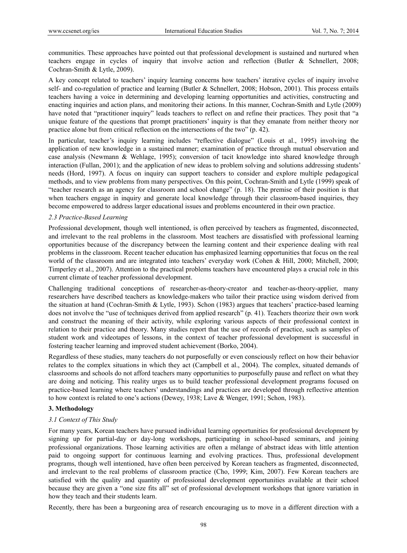communities. These approaches have pointed out that professional development is sustained and nurtured when teachers engage in cycles of inquiry that involve action and reflection (Butler & Schnellert, 2008; Cochran-Smith & Lytle, 2009).

A key concept related to teachers' inquiry learning concerns how teachers' iterative cycles of inquiry involve self- and co-regulation of practice and learning (Butler & Schnellert, 2008; Hobson, 2001). This process entails teachers having a voice in determining and developing learning opportunities and activities, constructing and enacting inquiries and action plans, and monitoring their actions. In this manner, Cochran-Smith and Lytle (2009) have noted that "practitioner inquiry" leads teachers to reflect on and refine their practices. They posit that "a unique feature of the questions that prompt practitioners' inquiry is that they emanate from neither theory nor practice alone but from critical reflection on the intersections of the two" (p. 42).

In particular, teacher's inquiry learning includes "reflective dialogue" (Louis et al., 1995) involving the application of new knowledge in a sustained manner; examination of practice through mutual observation and case analysis (Newmann & Wehlage, 1995); conversion of tacit knowledge into shared knowledge through interaction (Fullan, 2001); and the application of new ideas to problem solving and solutions addressing students' needs (Hord, 1997). A focus on inquiry can support teachers to consider and explore multiple pedagogical methods, and to view problems from many perspectives. On this point, Cochran-Smith and Lytle (1999) speak of "teacher research as an agency for classroom and school change" (p. 18). The premise of their position is that when teachers engage in inquiry and generate local knowledge through their classroom-based inquiries, they become empowered to address larger educational issues and problems encountered in their own practice.

## *2.3 Practice-Based Learning*

Professional development, though well intentioned, is often perceived by teachers as fragmented, disconnected, and irrelevant to the real problems in the classroom. Most teachers are dissatisfied with professional learning opportunities because of the discrepancy between the learning content and their experience dealing with real problems in the classroom. Recent teacher education has emphasized learning opportunities that focus on the real world of the classroom and are integrated into teachers' everyday work (Cohen & Hill, 2000; Mitchell, 2000; Timperley et al., 2007). Attention to the practical problems teachers have encountered plays a crucial role in this current climate of teacher professional development.

Challenging traditional conceptions of researcher-as-theory-creator and teacher-as-theory-applier, many researchers have described teachers as knowledge-makers who tailor their practice using wisdom derived from the situation at hand (Cochran-Smith & Lytle, 1993). Schon (1983) argues that teachers' practice-based learning does not involve the "use of techniques derived from applied research" (p. 41). Teachers theorize their own work and construct the meaning of their activity, while exploring various aspects of their professional context in relation to their practice and theory. Many studies report that the use of records of practice, such as samples of student work and videotapes of lessons, in the context of teacher professional development is successful in fostering teacher learning and improved student achievement (Borko, 2004).

Regardless of these studies, many teachers do not purposefully or even consciously reflect on how their behavior relates to the complex situations in which they act (Campbell et al., 2004). The complex, situated demands of classrooms and schools do not afford teachers many opportunities to purposefully pause and reflect on what they are doing and noticing. This reality urges us to build teacher professional development programs focused on practice-based learning where teachers' understandings and practices are developed through reflective attention to how context is related to one's actions (Dewey, 1938; Lave & Wenger, 1991; Schon, 1983).

# **3. Methodology**

## *3.1 Context of This Study*

For many years, Korean teachers have pursued individual learning opportunities for professional development by signing up for partial-day or day-long workshops, participating in school-based seminars, and joining professional organizations. Those learning activities are often a mélange of abstract ideas with little attention paid to ongoing support for continuous learning and evolving practices. Thus, professional development programs, though well intentioned, have often been perceived by Korean teachers as fragmented, disconnected, and irrelevant to the real problems of classroom practice (Cho, 1999; Kim, 2007). Few Korean teachers are satisfied with the quality and quantity of professional development opportunities available at their school because they are given a "one size fits all" set of professional development workshops that ignore variation in how they teach and their students learn.

Recently, there has been a burgeoning area of research encouraging us to move in a different direction with a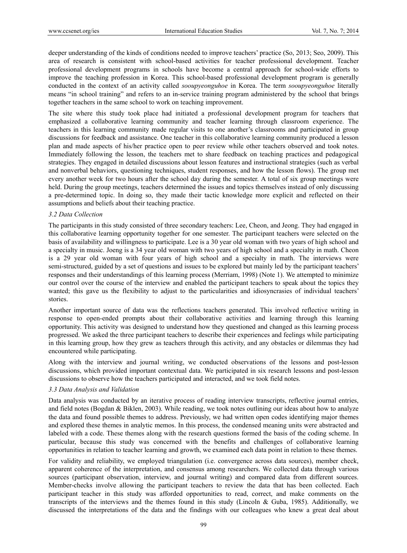deeper understanding of the kinds of conditions needed to improve teachers' practice (So, 2013; Seo, 2009). This area of research is consistent with school-based activities for teacher professional development. Teacher professional development programs in schools have become a central approach for school-wide efforts to improve the teaching profession in Korea. This school-based professional development program is generally conducted in the context of an activity called *sooupyeonguhoe* in Korea. The term *sooupyeonguhoe* literally means "in school training" and refers to an in-service training program administered by the school that brings together teachers in the same school to work on teaching improvement.

The site where this study took place had initiated a professional development program for teachers that emphasized a collaborative learning community and teacher learning through classroom experience. The teachers in this learning community made regular visits to one another's classrooms and participated in group discussions for feedback and assistance. One teacher in this collaborative learning community produced a lesson plan and made aspects of his/her practice open to peer review while other teachers observed and took notes. Immediately following the lesson, the teachers met to share feedback on teaching practices and pedagogical strategies. They engaged in detailed discussions about lesson features and instructional strategies (such as verbal and nonverbal behaviors, questioning techniques, student responses, and how the lesson flows). The group met every another week for two hours after the school day during the semester. A total of six group meetings were held. During the group meetings, teachers determined the issues and topics themselves instead of only discussing a pre-determined topic. In doing so, they made their tactic knowledge more explicit and reflected on their assumptions and beliefs about their teaching practice.

## *3.2 Data Collection*

The participants in this study consisted of three secondary teachers: Lee, Cheon, and Jeong. They had engaged in this collaborative learning opportunity together for one semester. The participant teachers were selected on the basis of availability and willingness to participate. Lee is a 30 year old woman with two years of high school and a specialty in music. Joeng is a 34 year old woman with two years of high school and a specialty in math. Cheon is a 29 year old woman with four years of high school and a specialty in math. The interviews were semi-structured, guided by a set of questions and issues to be explored but mainly led by the participant teachers' responses and their understandings of this learning process (Merriam, 1998) (Note 1). We attempted to minimize our control over the course of the interview and enabled the participant teachers to speak about the topics they wanted; this gave us the flexibility to adjust to the particularities and idiosyncrasies of individual teachers' stories.

Another important source of data was the reflections teachers generated. This involved reflective writing in response to open-ended prompts about their collaborative activities and learning through this learning opportunity. This activity was designed to understand how they questioned and changed as this learning process progressed. We asked the three participant teachers to describe their experiences and feelings while participating in this learning group, how they grew as teachers through this activity, and any obstacles or dilemmas they had encountered while participating.

Along with the interview and journal writing, we conducted observations of the lessons and post-lesson discussions, which provided important contextual data. We participated in six research lessons and post-lesson discussions to observe how the teachers participated and interacted, and we took field notes.

## *3.3 Data Analysis and Validation*

Data analysis was conducted by an iterative process of reading interview transcripts, reflective journal entries, and field notes (Bogdan & Biklen, 2003). While reading, we took notes outlining our ideas about how to analyze the data and found possible themes to address. Previously, we had written open codes identifying major themes and explored these themes in analytic memos. In this process, the condensed meaning units were abstracted and labeled with a code. These themes along with the research questions formed the basis of the coding scheme. In particular, because this study was concerned with the benefits and challenges of collaborative learning opportunities in relation to teacher learning and growth, we examined each data point in relation to these themes.

For validity and reliability, we employed triangulation (i.e. convergence across data sources), member check, apparent coherence of the interpretation, and consensus among researchers. We collected data through various sources (participant observation, interview, and journal writing) and compared data from different sources. Member-checks involve allowing the participant teachers to review the data that has been collected. Each participant teacher in this study was afforded opportunities to read, correct, and make comments on the transcripts of the interviews and the themes found in this study (Lincoln & Guba, 1985). Additionally, we discussed the interpretations of the data and the findings with our colleagues who knew a great deal about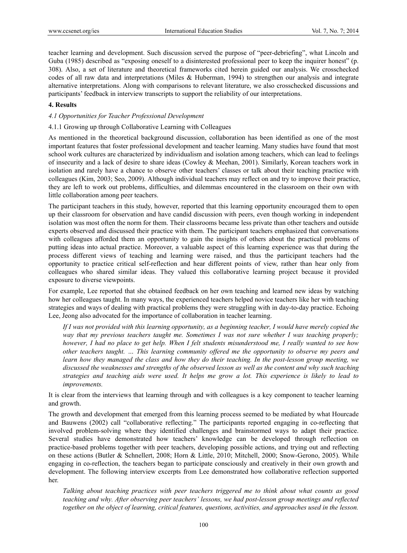teacher learning and development. Such discussion served the purpose of "peer-debriefing", what Lincoln and Guba (1985) described as "exposing oneself to a disinterested professional peer to keep the inquirer honest" (p. 308). Also, a set of literature and theoretical frameworks cited herein guided our analysis. We crosschecked codes of all raw data and interpretations (Miles & Huberman, 1994) to strengthen our analysis and integrate alternative interpretations. Along with comparisons to relevant literature, we also crosschecked discussions and participants' feedback in interview transcripts to support the reliability of our interpretations.

## **4. Results**

## *4.1 Opportunities for Teacher Professional Development*

# 4.1.1 Growing up through Collaborative Learning with Colleagues

As mentioned in the theoretical background discussion, collaboration has been identified as one of the most important features that foster professional development and teacher learning. Many studies have found that most school work cultures are characterized by individualism and isolation among teachers, which can lead to feelings of insecurity and a lack of desire to share ideas (Cowley & Meehan, 2001). Similarly, Korean teachers work in isolation and rarely have a chance to observe other teachers' classes or talk about their teaching practice with colleagues (Kim, 2003; Seo, 2009). Although individual teachers may reflect on and try to improve their practice, they are left to work out problems, difficulties, and dilemmas encountered in the classroom on their own with little collaboration among peer teachers.

The participant teachers in this study, however, reported that this learning opportunity encouraged them to open up their classroom for observation and have candid discussion with peers, even though working in independent isolation was most often the norm for them. Their classrooms became less private than other teachers and outside experts observed and discussed their practice with them. The participant teachers emphasized that conversations with colleagues afforded them an opportunity to gain the insights of others about the practical problems of putting ideas into actual practice. Moreover, a valuable aspect of this learning experience was that during the process different views of teaching and learning were raised, and thus the participant teachers had the opportunity to practice critical self-reflection and hear different points of view, rather than hear only from colleagues who shared similar ideas. They valued this collaborative learning project because it provided exposure to diverse viewpoints.

For example, Lee reported that she obtained feedback on her own teaching and learned new ideas by watching how her colleagues taught. In many ways, the experienced teachers helped novice teachers like her with teaching strategies and ways of dealing with practical problems they were struggling with in day-to-day practice. Echoing Lee, Jeong also advocated for the importance of collaboration in teacher learning.

*If I was not provided with this learning opportunity, as a beginning teacher, I would have merely copied the way that my previous teachers taught me. Sometimes I was not sure whether I was teaching properly; however, I had no place to get help. When I felt students misunderstood me, I really wanted to see how other teachers taught. … This learning community offered me the opportunity to observe my peers and learn how they managed the class and how they do their teaching. In the post-lesson group meeting, we discussed the weaknesses and strengths of the observed lesson as well as the content and why such teaching strategies and teaching aids were used. It helps me grow a lot. This experience is likely to lead to improvements.* 

It is clear from the interviews that learning through and with colleagues is a key component to teacher learning and growth.

The growth and development that emerged from this learning process seemed to be mediated by what Hourcade and Bauwens (2002) call "collaborative reflecting." The participants reported engaging in co-reflecting that involved problem-solving where they identified challenges and brainstormed ways to adapt their practice. Several studies have demonstrated how teachers' knowledge can be developed through reflection on practice-based problems together with peer teachers, developing possible actions, and trying out and reflecting on these actions (Butler & Schnellert, 2008; Horn & Little, 2010; Mitchell, 2000; Snow-Gerono, 2005). While engaging in co-reflection, the teachers began to participate consciously and creatively in their own growth and development. The following interview excerpts from Lee demonstrated how collaborative reflection supported her.

*Talking about teaching practices with peer teachers triggered me to think about what counts as good teaching and why. After observing peer teachers' lessons, we had post-lesson group meetings and reflected together on the object of learning, critical features, questions, activities, and approaches used in the lesson.*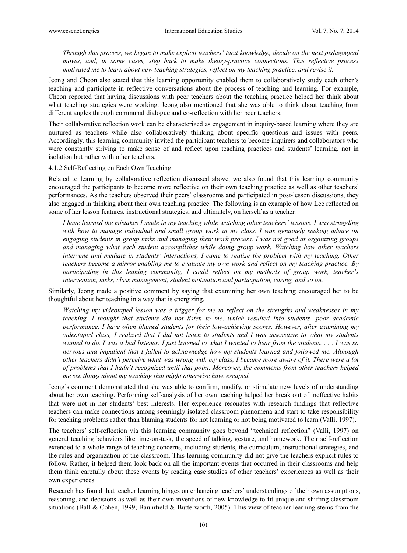*Through this process, we began to make explicit teachers' tacit knowledge, decide on the next pedagogical moves, and, in some cases, step back to make theory-practice connections. This reflective process motivated me to learn about new teaching strategies, reflect on my teaching practice, and revise it.* 

Jeong and Cheon also stated that this learning opportunity enabled them to collaboratively study each other's teaching and participate in reflective conversations about the process of teaching and learning. For example, Cheon reported that having discussions with peer teachers about the teaching practice helped her think about what teaching strategies were working. Jeong also mentioned that she was able to think about teaching from different angles through communal dialogue and co-reflection with her peer teachers.

Their collaborative reflection work can be characterized as engagement in inquiry-based learning where they are nurtured as teachers while also collaboratively thinking about specific questions and issues with peers. Accordingly, this learning community invited the participant teachers to become inquirers and collaborators who were constantly striving to make sense of and reflect upon teaching practices and students' learning, not in isolation but rather with other teachers.

#### 4.1.2 Self-Reflecting on Each Own Teaching

Related to learning by collaborative reflection discussed above, we also found that this learning community encouraged the participants to become more reflective on their own teaching practice as well as other teachers' performances. As the teachers observed their peers' classrooms and participated in post-lesson discussions, they also engaged in thinking about their own teaching practice. The following is an example of how Lee reflected on some of her lesson features, instructional strategies, and ultimately, on herself as a teacher.

*I have learned the mistakes I made in my teaching while watching other teachers' lessons. I was struggling with how to manage individual and small group work in my class. I was genuinely seeking advice on engaging students in group tasks and managing their work process. I was not good at organizing groups and managing what each student accomplishes while doing group work. Watching how other teachers intervene and mediate in students' interactions, I came to realize the problem with my teaching. Other teachers become a mirror enabling me to evaluate my own work and reflect on my teaching practice. By participating in this leaning community, I could reflect on my methods of group work, teacher's intervention, tasks, class management, student motivation and participation, caring, and so on.* 

Similarly, Jeong made a positive comment by saying that examining her own teaching encouraged her to be thoughtful about her teaching in a way that is energizing.

*Watching my videotaped lesson was a trigger for me to reflect on the strengths and weaknesses in my teaching. I thought that students did not listen to me, which resulted into students' poor academic performance. I have often blamed students for their low-achieving scores. However, after examining my videotaped class, I realized that I did not listen to students and I was insensitive to what my students wanted to do. I was a bad listener. I just listened to what I wanted to hear from the students. . . . I was so nervous and impatient that I failed to acknowledge how my students learned and followed me. Although other teachers didn't perceive what was wrong with my class, I became more aware of it. There were a lot of problems that I hadn't recognized until that point. Moreover, the comments from other teachers helped me see things about my teaching that might otherwise have escaped.* 

Jeong's comment demonstrated that she was able to confirm, modify, or stimulate new levels of understanding about her own teaching. Performing self-analysis of her own teaching helped her break out of ineffective habits that were not in her students' best interests. Her experience resonates with research findings that reflective teachers can make connections among seemingly isolated classroom phenomena and start to take responsibility for teaching problems rather than blaming students for not learning or not being motivated to learn (Valli, 1997).

The teachers' self-reflection via this learning community goes beyond "technical reflection" (Valli, 1997) on general teaching behaviors like time-on-task, the speed of talking, gesture, and homework. Their self-reflection extended to a whole range of teaching concerns, including students, the curriculum, instructional strategies, and the rules and organization of the classroom. This learning community did not give the teachers explicit rules to follow. Rather, it helped them look back on all the important events that occurred in their classrooms and help them think carefully about these events by reading case studies of other teachers' experiences as well as their own experiences.

Research has found that teacher learning hinges on enhancing teachers' understandings of their own assumptions, reasoning, and decisions as well as their own inventions of new knowledge to fit unique and shifting classroom situations (Ball & Cohen, 1999; Baumfield & Butterworth, 2005). This view of teacher learning stems from the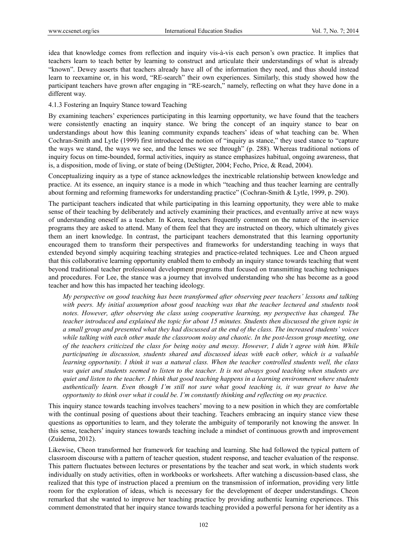idea that knowledge comes from reflection and inquiry vis-à-vis each person's own practice. It implies that teachers learn to teach better by learning to construct and articulate their understandings of what is already "known". Dewey asserts that teachers already have all of the information they need, and thus should instead learn to reexamine or, in his word, "RE-search" their own experiences. Similarly, this study showed how the participant teachers have grown after engaging in "RE-search," namely, reflecting on what they have done in a different way.

## 4.1.3 Fostering an Inquiry Stance toward Teaching

By examining teachers' experiences participating in this learning opportunity, we have found that the teachers were consistently enacting an inquiry stance. We bring the concept of an inquiry stance to bear on understandings about how this leaning community expands teachers' ideas of what teaching can be. When Cochran-Smith and Lytle (1999) first introduced the notion of "inquiry as stance," they used stance to "capture the ways we stand, the ways we see, and the lenses we see through" (p. 288). Whereas traditional notions of inquiry focus on time-bounded, formal activities, inquiry as stance emphasizes habitual, ongoing awareness, that is, a disposition, mode of living, or state of being (DeStigter, 2004; Fecho, Price, & Read, 2004).

Conceptualizing inquiry as a type of stance acknowledges the inextricable relationship between knowledge and practice. At its essence, an inquiry stance is a mode in which "teaching and thus teacher learning are centrally about forming and reforming frameworks for understanding practice" (Cochran-Smith & Lytle, 1999, p. 290).

The participant teachers indicated that while participating in this learning opportunity, they were able to make sense of their teaching by deliberately and actively examining their practices, and eventually arrive at new ways of understanding oneself as a teacher. In Korea, teachers frequently comment on the nature of the in-service programs they are asked to attend. Many of them feel that they are instructed on theory, which ultimately gives them an inert knowledge. In contrast, the participant teachers demonstrated that this learning opportunity encouraged them to transform their perspectives and frameworks for understanding teaching in ways that extended beyond simply acquiring teaching strategies and practice-related techniques. Lee and Cheon argued that this collaborative learning opportunity enabled them to embody an inquiry stance towards teaching that went beyond traditional teacher professional development programs that focused on transmitting teaching techniques and procedures. For Lee, the stance was a journey that involved understanding who she has become as a good teacher and how this has impacted her teaching ideology.

*My perspective on good teaching has been transformed after observing peer teachers' lessons and talking with peers. My initial assumption about good teaching was that the teacher lectured and students took notes. However, after observing the class using cooperative learning, my perspective has changed. The teacher introduced and explained the topic for about 15 minutes. Students then discussed the given topic in a small group and presented what they had discussed at the end of the class. The increased students' voices while talking with each other made the classroom noisy and chaotic. In the post-lesson group meeting, one of the teachers criticized the class for being noisy and messy. However, I didn't agree with him. While participating in discussion, students shared and discussed ideas with each other, which is a valuable learning opportunity. I think it was a natural class. When the teacher controlled students well, the class was quiet and students seemed to listen to the teacher. It is not always good teaching when students are quiet and listen to the teacher. I think that good teaching happens in a learning environment where students authentically learn. Even though I'm still not sure what good teaching is, it was great to have the opportunity to think over what it could be. I'm constantly thinking and reflecting on my practice.* 

This inquiry stance towards teaching involves teachers' moving to a new position in which they are comfortable with the continual posing of questions about their teaching. Teachers embracing an inquiry stance view these questions as opportunities to learn, and they tolerate the ambiguity of temporarily not knowing the answer. In this sense, teachers' inquiry stances towards teaching include a mindset of continuous growth and improvement (Zuidema, 2012).

Likewise, Cheon transformed her framework for teaching and learning. She had followed the typical pattern of classroom discourse with a pattern of teacher question, student response, and teacher evaluation of the response. This pattern fluctuates between lectures or presentations by the teacher and seat work, in which students work individually on study activities, often in workbooks or worksheets. After watching a discussion-based class, she realized that this type of instruction placed a premium on the transmission of information, providing very little room for the exploration of ideas, which is necessary for the development of deeper understandings. Cheon remarked that she wanted to improve her teaching practice by providing authentic learning experiences. This comment demonstrated that her inquiry stance towards teaching provided a powerful persona for her identity as a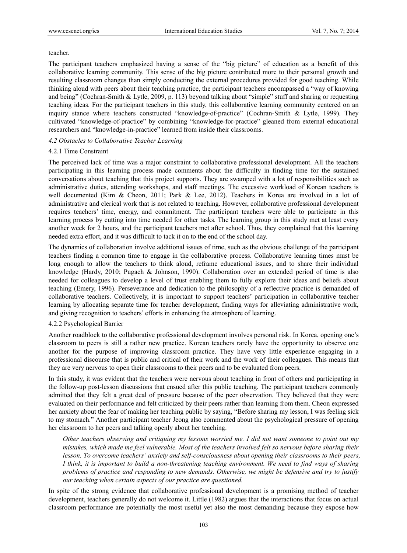## teacher.

The participant teachers emphasized having a sense of the "big picture" of education as a benefit of this collaborative learning community. This sense of the big picture contributed more to their personal growth and resulting classroom changes than simply conducting the external procedures provided for good teaching. While thinking aloud with peers about their teaching practice, the participant teachers encompassed a "way of knowing and being" (Cochran-Smith & Lytle, 2009, p. 113) beyond talking about "simple" stuff and sharing or requesting teaching ideas. For the participant teachers in this study, this collaborative learning community centered on an inquiry stance where teachers constructed "knowledge-of-practice" (Cochran-Smith & Lytle, 1999). They cultivated "knowledge-of-practice" by combining "knowledge-for-practice" gleaned from external educational researchers and "knowledge-in-practice" learned from inside their classrooms.

# *4.2 Obstacles to Collaborative Teacher Learning*

# 4.2.1 Time Constraint

The perceived lack of time was a major constraint to collaborative professional development. All the teachers participating in this learning process made comments about the difficulty in finding time for the sustained conversations about teaching that this project supports. They are swamped with a lot of responsibilities such as administrative duties, attending workshops, and staff meetings. The excessive workload of Korean teachers is well documented (Kim & Cheon, 2011; Park & Lee, 2012). Teachers in Korea are involved in a lot of administrative and clerical work that is not related to teaching. However, collaborative professional development requires teachers' time, energy, and commitment. The participant teachers were able to participate in this learning process by cutting into time needed for other tasks. The learning group in this study met at least every another week for 2 hours, and the participant teachers met after school. Thus, they complained that this learning needed extra effort, and it was difficult to tack it on to the end of the school day.

The dynamics of collaboration involve additional issues of time, such as the obvious challenge of the participant teachers finding a common time to engage in the collaborative process. Collaborative learning times must be long enough to allow the teachers to think aloud, reframe educational issues, and to share their individual knowledge (Hardy, 2010; Pugach & Johnson, 1990). Collaboration over an extended period of time is also needed for colleagues to develop a level of trust enabling them to fully explore their ideas and beliefs about teaching (Emery, 1996). Perseverance and dedication to the philosophy of a reflective practice is demanded of collaborative teachers. Collectively, it is important to support teachers' participation in collaborative teacher learning by allocating separate time for teacher development, finding ways for alleviating administrative work, and giving recognition to teachers' efforts in enhancing the atmosphere of learning.

## 4.2.2 Psychological Barrier

Another roadblock to the collaborative professional development involves personal risk. In Korea, opening one's classroom to peers is still a rather new practice. Korean teachers rarely have the opportunity to observe one another for the purpose of improving classroom practice. They have very little experience engaging in a professional discourse that is public and critical of their work and the work of their colleagues. This means that they are very nervous to open their classrooms to their peers and to be evaluated from peers.

In this study, it was evident that the teachers were nervous about teaching in front of others and participating in the follow-up post-lesson discussions that ensued after this public teaching. The participant teachers commonly admitted that they felt a great deal of pressure because of the peer observation. They believed that they were evaluated on their performance and felt criticized by their peers rather than learning from them. Cheon expressed her anxiety about the fear of making her teaching public by saying, "Before sharing my lesson, I was feeling sick to my stomach." Another participant teacher Jeong also commented about the psychological pressure of opening her classroom to her peers and talking openly about her teaching.

*Other teachers observing and critiquing my lessons worried me. I did not want someone to point out my mistakes, which made me feel vulnerable. Most of the teachers involved felt so nervous before sharing their lesson. To overcome teachers' anxiety and self-consciousness about opening their classrooms to their peers, I think, it is important to build a non-threatening teaching environment. We need to find ways of sharing problems of practice and responding to new demands. Otherwise, we might be defensive and try to justify our teaching when certain aspects of our practice are questioned.* 

In spite of the strong evidence that collaborative professional development is a promising method of teacher development, teachers generally do not welcome it. Little (1982) argues that the interactions that focus on actual classroom performance are potentially the most useful yet also the most demanding because they expose how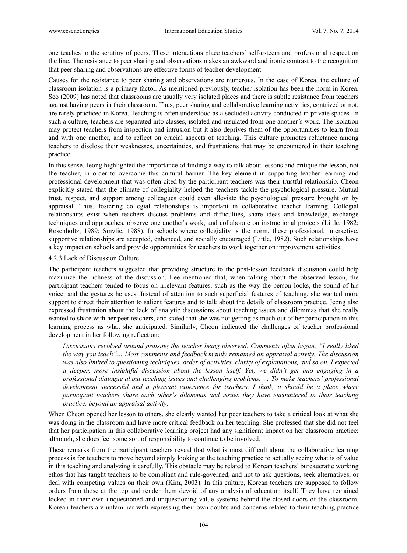one teaches to the scrutiny of peers. These interactions place teachers' self-esteem and professional respect on the line. The resistance to peer sharing and observations makes an awkward and ironic contrast to the recognition that peer sharing and observations are effective forms of teacher development.

Causes for the resistance to peer sharing and observations are numerous. In the case of Korea, the culture of classroom isolation is a primary factor. As mentioned previously, teacher isolation has been the norm in Korea. Seo (2009) has noted that classrooms are usually very isolated places and there is subtle resistance from teachers against having peers in their classroom. Thus, peer sharing and collaborative learning activities, contrived or not, are rarely practiced in Korea. Teaching is often understood as a secluded activity conducted in private spaces. In such a culture, teachers are separated into classes, isolated and insulated from one another's work. The isolation may protect teachers from inspection and intrusion but it also deprives them of the opportunities to learn from and with one another, and to reflect on crucial aspects of teaching. This culture promotes reluctance among teachers to disclose their weaknesses, uncertainties, and frustrations that may be encountered in their teaching practice.

In this sense, Jeong highlighted the importance of finding a way to talk about lessons and critique the lesson, not the teacher, in order to overcome this cultural barrier. The key element in supporting teacher learning and professional development that was often cited by the participant teachers was their trustful relationship. Cheon explicitly stated that the climate of collegiality helped the teachers tackle the psychological pressure. Mutual trust, respect, and support among colleagues could even alleviate the psychological pressure brought on by appraisal. Thus, fostering collegial relationships is important in collaborative teacher learning. Collegial relationships exist when teachers discuss problems and difficulties, share ideas and knowledge, exchange techniques and approaches, observe one another's work, and collaborate on instructional projects (Little, 1982; Rosenholtz, 1989; Smylie, 1988). In schools where collegiality is the norm, these professional, interactive, supportive relationships are accepted, enhanced, and socially encouraged (Little, 1982). Such relationships have a key impact on schools and provide opportunities for teachers to work together on improvement activities.

#### 4.2.3 Lack of Discussion Culture

The participant teachers suggested that providing structure to the post-lesson feedback discussion could help maximize the richness of the discussion. Lee mentioned that, when talking about the observed lesson, the participant teachers tended to focus on irrelevant features, such as the way the person looks, the sound of his voice, and the gestures he uses. Instead of attention to such superficial features of teaching, she wanted more support to direct their attention to salient features and to talk about the details of classroom practice. Jeong also expressed frustration about the lack of analytic discussions about teaching issues and dilemmas that she really wanted to share with her peer teachers, and stated that she was not getting as much out of her participation in this learning process as what she anticipated. Similarly, Cheon indicated the challenges of teacher professional development in her following reflection:

*Discussions revolved around praising the teacher being observed. Comments often began, "I really liked the way you teach"… Most comments and feedback mainly remained an appraisal activity. The discussion was also limited to questioning techniques, order of activities, clarity of explanations, and so on. I expected a deeper, more insightful discussion about the lesson itself. Yet, we didn't get into engaging in a professional dialogue about teaching issues and challenging problems. … To make teachers' professional development successful and a pleasant experience for teachers, I think, it should be a place where participant teachers share each other's dilemmas and issues they have encountered in their teaching practice, beyond an appraisal activity.* 

When Cheon opened her lesson to others, she clearly wanted her peer teachers to take a critical look at what she was doing in the classroom and have more critical feedback on her teaching. She professed that she did not feel that her participation in this collaborative learning project had any significant impact on her classroom practice; although, she does feel some sort of responsibility to continue to be involved.

These remarks from the participant teachers reveal that what is most difficult about the collaborative learning process is for teachers to move beyond simply looking at the teaching practice to actually seeing what is of value in this teaching and analyzing it carefully. This obstacle may be related to Korean teachers' bureaucratic working ethos that has taught teachers to be compliant and rule-governed, and not to ask questions, seek alternatives, or deal with competing values on their own (Kim, 2003). In this culture, Korean teachers are supposed to follow orders from those at the top and render them devoid of any analysis of education itself. They have remained locked in their own unquestioned and unquestioning value systems behind the closed doors of the classroom. Korean teachers are unfamiliar with expressing their own doubts and concerns related to their teaching practice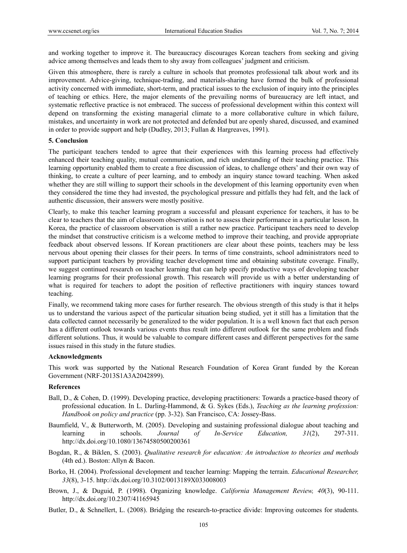and working together to improve it. The bureaucracy discourages Korean teachers from seeking and giving advice among themselves and leads them to shy away from colleagues' judgment and criticism.

Given this atmosphere, there is rarely a culture in schools that promotes professional talk about work and its improvement. Advice-giving, technique-trading, and materials-sharing have formed the bulk of professional activity concerned with immediate, short-term, and practical issues to the exclusion of inquiry into the principles of teaching or ethics. Here, the major elements of the prevailing norms of bureaucracy are left intact, and systematic reflective practice is not embraced. The success of professional development within this context will depend on transforming the existing managerial climate to a more collaborative culture in which failure, mistakes, and uncertainty in work are not protected and defended but are openly shared, discussed, and examined in order to provide support and help (Dudley, 2013; Fullan & Hargreaves, 1991).

## **5. Conclusion**

The participant teachers tended to agree that their experiences with this learning process had effectively enhanced their teaching quality, mutual communication, and rich understanding of their teaching practice. This learning opportunity enabled them to create a free discussion of ideas, to challenge others' and their own way of thinking, to create a culture of peer learning, and to embody an inquiry stance toward teaching. When asked whether they are still willing to support their schools in the development of this learning opportunity even when they considered the time they had invested, the psychological pressure and pitfalls they had felt, and the lack of authentic discussion, their answers were mostly positive.

Clearly, to make this teacher learning program a successful and pleasant experience for teachers, it has to be clear to teachers that the aim of classroom observation is not to assess their performance in a particular lesson. In Korea, the practice of classroom observation is still a rather new practice. Participant teachers need to develop the mindset that constructive criticism is a welcome method to improve their teaching, and provide appropriate feedback about observed lessons. If Korean practitioners are clear about these points, teachers may be less nervous about opening their classes for their peers. In terms of time constraints, school administrators need to support participant teachers by providing teacher development time and obtaining substitute coverage. Finally, we suggest continued research on teacher learning that can help specify productive ways of developing teacher learning programs for their professional growth. This research will provide us with a better understanding of what is required for teachers to adopt the position of reflective practitioners with inquiry stances toward teaching.

Finally, we recommend taking more cases for further research. The obvious strength of this study is that it helps us to understand the various aspect of the particular situation being studied, yet it still has a limitation that the data collected cannot necessarily be generalized to the wider population. It is a well known fact that each person has a different outlook towards various events thus result into different outlook for the same problem and finds different solutions. Thus, it would be valuable to compare different cases and different perspectives for the same issues raised in this study in the future studies.

## **Acknowledgments**

This work was supported by the National Research Foundation of Korea Grant funded by the Korean Government (NRF-2013S1A3A2042899).

#### **References**

- Ball, D., & Cohen, D. (1999). Developing practice, developing practitioners: Towards a practice-based theory of professional education. In L. Darling-Hammond, & G. Sykes (Eds.), *Teaching as the learning profession: Handbook on policy and practice* (pp. 3-32). San Francisco, CA: Jossey-Bass.
- Baumfield, V., & Butterworth, M. (2005). Developing and sustaining professional dialogue about teaching and learning in schools. *Journal of In-Service Education, 31*(2), 297-311. http://dx.doi.org/10.1080/13674580500200361
- Bogdan, R., & Biklen, S. (2003). *Qualitative research for education: An introduction to theories and methods*  (4th ed.). Boston: Allyn & Bacon.
- Borko, H. (2004). Professional development and teacher learning: Mapping the terrain. *Educational Researcher, 33*(8), 3-15. http://dx.doi.org/10.3102/0013189X033008003
- Brown, J., & Duguid, P. (1998). Organizing knowledge. *California Management Review, 40*(3), 90-111. http://dx.doi.org/10.2307/41165945
- Butler, D., & Schnellert, L. (2008). Bridging the research-to-practice divide: Improving outcomes for students.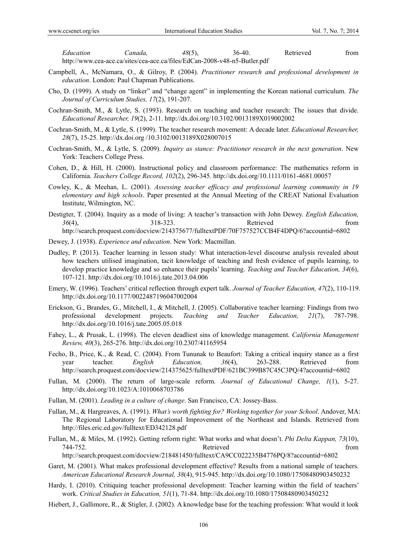*Education Canada, 48*(5), 36-40. Retrieved from http://www.cea-ace.ca/sites/cea-ace.ca/files/EdCan-2008-v48-n5-Butler.pdf

- Campbell, A., McNamara, O., & Gilroy, P. (2004). *Practitioner research and professional development in education*. London: Paul Chapman Publications.
- Cho, D. (1999). A study on "linker" and "change agent" in implementing the Korean national curriculum. *The Journal of Curriculum Studies, 17*(2), 191-207.
- Cochran-Smith, M., & Lytle, S. (1993). Research on teaching and teacher research: The issues that divide. *Educational Researcher, 19*(2), 2-11. http://dx.doi.org/10.3102/0013189X019002002
- Cochran-Smith, M., & Lytle, S. (1999). The teacher research movement: A decade later. *Educational Researcher, 28*(7), 15-25. http://dx.doi.org /10.3102/0013189X028007015
- Cochran-Smith, M., & Lytle, S. (2009). *Inquiry as stance: Practitioner research in the next generation*. New York: Teachers College Press.
- Cohen, D., & Hill, H. (2000). Instructional policy and classroom performance: The mathematics reform in California. *Teachers College Record, 102*(2), 296-345. http://dx.doi.org/10.1111/0161-4681.00057
- Cowley, K., & Meehan, L. (2001). *Assessing teacher efficacy and professional learning community in 19 elementary and high schools*. Paper presented at the Annual Meeting of the CREAT National Evaluation Institute, Wilmington, NC.
- Destigter, T. (2004). Inquiry as a mode of living: A teacher's transaction with John Dewey. *English Education,*  **36(4), 318-323.** Retrieved from http://search.proquest.com/docview/214375677/fulltextPDF/70F757527CCB4F4DPQ/6?accountid=6802
- Dewey, J. (1938). *Experience and education*. New York: Macmillan.
- Dudley, P. (2013). Teacher learning in lesson study: What interaction-level discourse analysis revealed about how teachers utilised imagination, tacit knowledge of teaching and fresh evidence of pupils learning, to develop practice knowledge and so enhance their pupils' learning. *Teaching and Teacher Education, 34*(6), 107-121. http://dx.doi.org/10.1016/j.tate.2013.04.006
- Emery, W. (1996). Teachers' critical reflection through expert talk. *Journal of Teacher Education, 47*(2), 110-119. http://dx.doi.org/10.1177/0022487196047002004
- Erickson, G., Brandes, G., Mitchell, I., & Mitchell, J. (2005). Collaborative teacher learning: Findings from two professional development projects. *Teaching and Teacher Education, 21*(7), 787-798. http://dx.doi.org/10.1016/j.tate.2005.05.018
- Fahey, L., & Prusak, L. (1998). The eleven deadliest sins of knowledge management. *California Management Review, 40*(3), 265-276. http://dx.doi.org/10.2307/41165954
- Fecho, B., Price, K., & Read, C. (2004). From Tununak to Beaufort: Taking a critical inquiry stance as a first year teacher. *English Education, 36*(4), 263-288. Retrieved from http://search.proquest.com/docview/214375625/fulltextPDF/621BC399B87C45C3PQ/4?accountid=6802
- Fullan, M. (2000). The return of large-scale reform. *Journal of Educational Change, 1*(1), 5-27. http://dx.doi.org/10.1023/A:1010068703786
- Fullan, M. (2001). *Leading in a culture of change*. San Francisco, CA: Jossey-Bass.
- Fullan, M., & Hargreaves, A. (1991). *What's worth fighting for? Working together for your School*. Andover, MA: The Regional Laboratory for Educational Improvement of the Northeast and Islands. Retrieved from http://files.eric.ed.gov/fulltext/ED342128.pdf
- Fullan, M., & Miles, M. (1992). Getting reform right: What works and what doesn't. *Phi Delta Kappan, 73*(10), 744-752. Retrieved from http://search.proquest.com/docview/218481450/fulltext/CA9CC022235B4776PQ/8?accountid=6802
- Garet, M. (2001). What makes professional development effective? Results from a national sample of teachers. *American Educational Research Journal, 38*(4), 915-945. http://dx.doi.org/10.1080/17508480903450232
- Hardy, I. (2010). Critiquing teacher professional development: Teacher learning within the field of teachers' work. *Critical Studies in Education, 51*(1), 71-84. http://dx.doi.org/10.1080/17508480903450232
- Hiebert, J., Gallimore, R., & Stigler, J. (2002). A knowledge base for the teaching profession: What would it look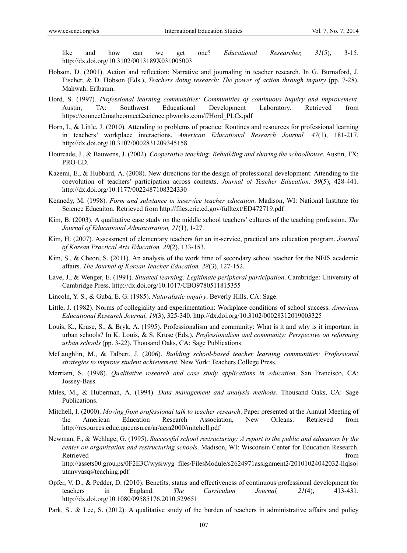like and how can we get one? *Educational Researcher, 31*(5), 3-15. http://dx.doi.org/10.3102/0013189X031005003

- Hobson, D. (2001). Action and reflection: Narrative and journaling in teacher research. In G. Burnaford, J. Fischer, & D. Hobson (Eds.), *Teachers doing research: The power of action through inquiry* (pp. 7-28). Mahwah: Erlbaum.
- Hord, S. (1997). *Professional learning communities: Communities of continuous inquiry and improvement*. Austin, TA: Southwest Educational Development Laboratory. Retrieved from https://connect2mathconnect2science.pbworks.com/f/Hord\_PLCs.pdf
- Horn, I., & Little, J. (2010). Attending to problems of practice: Routines and resources for professional learning in teachers' workplace interactions. *American Educational Research Journal, 47*(1), 181-217. http://dx.doi.org/10.3102/0002831209345158
- Hourcade, J., & Bauwens, J. (2002). *Cooperative teaching: Rebuilding and sharing the schoolhouse*. Austin, TX: PRO-ED.
- Kazemi, E., & Hubbard, A. (2008). New directions for the design of professional development: Attending to the coevolution of teachers' participation across contexts. *Journal of Teacher Education, 59*(5), 428-441. http://dx.doi.org/10.1177/0022487108324330
- Kennedy, M. (1998). *Form and substance in inservice teacher education*. Madison, WI: National Institute for Science Educaiton. Retrieved from http://files.eric.ed.gov/fulltext/ED472719.pdf
- Kim, B. (2003). A qualitative case study on the middle school teachers' cultures of the teaching profession. *The Journal of Educational Administration, 21*(1), 1-27.
- Kim, H. (2007). Assessment of elementary teachers for an in-service, practical arts education program. *Journal of Korean Practical Arts Education, 20*(2), 133-153.
- Kim, S., & Cheon, S. (2011). An analysis of the work time of secondary school teacher for the NEIS academic affairs. *The Journal of Korean Teacher Education, 28*(3), 127-152.
- Lave, J., & Wenger, E. (1991). *Situated learning: Legitimate peripheral participation*. Cambridge: University of Cambridge Press. http://dx.doi.org/10.1017/CBO9780511815355
- Lincoln, Y. S., & Guba, E. G. (1985). *Naturalistic inquiry*. Beverly Hills, CA: Sage.
- Little, J. (1982). Norms of collegiality and experimentation: Workplace conditions of school success. *American Educational Research Journal, 19*(3), 325-340. http://dx.doi.org/10.3102/00028312019003325
- Louis, K., Kruse, S., & Bryk, A. (1995). Professionalism and community: What is it and why is it important in urban schools? In K. Louis, & S. Kruse (Eds.), *Professionalism and community: Perspective on reforming urban schools* (pp. 3-22). Thousand Oaks, CA: Sage Publications.
- McLaughlin, M., & Talbert, J. (2006). *Building school-based teacher learning communities: Professional strategies to improve student achievement*. New York: Teachers College Press.
- Merriam, S. (1998). *Qualitative research and case study applications in education*. San Francisco, CA: Jossey-Bass.
- Miles, M., & Huberman, A. (1994). *Data management and analysis methods*. Thousand Oaks, CA: Sage Publications.
- Mitchell, I. (2000). *Moving from professional talk to teacher research*. Paper presented at the Annual Meeting of the American Education Research Association, New Orleans. Retrieved from http://resources.educ.queensu.ca/ar/aera2000/mitchell.pdf
- Newman, F., & Wehlage, G. (1995). *Successful school restructuring: A report to the public and educators by the center on organization and restructuring schools*. Madison, WI: Wisconsin Center for Education Research. Retrieved that the contract of the contract of the contract of the contract of the contract of the contract of the contract of the contract of the contract of the contract of the contract of the contract of the contract of http://assets00.grou.ps/0F2E3C/wysiwyg\_files/FilesModule/s2624971assignment2/20101024042032-llqlsoj

utnnvvasqs/teaching.pdf

- Opfer, V. D., & Pedder, D. (2010). Benefits, status and effectiveness of continuous professional development for teachers in England. *The Curriculum Journal, 21*(4), 413-431. http://dx.doi.org/10.1080/09585176.2010.529651
- Park, S., & Lee, S. (2012). A qualitative study of the burden of teachers in administrative affairs and policy